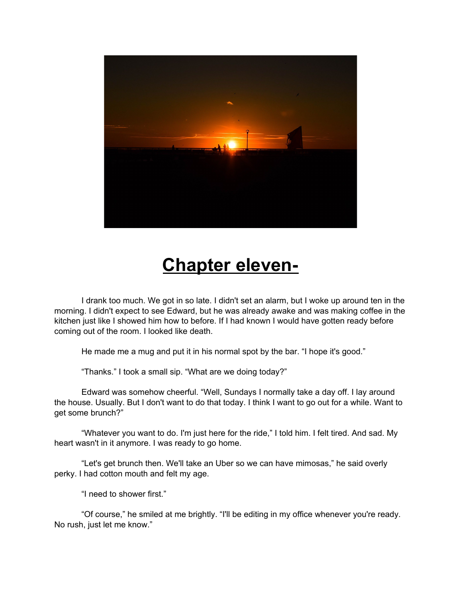

## **Chapter eleven-**

I drank too much. We got in so late. I didn't set an alarm, but I woke up around ten in the morning. I didn't expect to see Edward, but he was already awake and was making coffee in the kitchen just like I showed him how to before. If I had known I would have gotten ready before coming out of the room. I looked like death.

He made me a mug and put it in his normal spot by the bar. "I hope it's good."

"Thanks." I took a small sip. "What are we doing today?"

Edward was somehow cheerful. "Well, Sundays I normally take a day off. I lay around the house. Usually. But I don't want to do that today. I think I want to go out for a while. Want to get some brunch?"

"Whatever you want to do. I'm just here for the ride," I told him. I felt tired. And sad. My heart wasn't in it anymore. I was ready to go home.

"Let's get brunch then. We'll take an Uber so we can have mimosas," he said overly perky. I had cotton mouth and felt my age.

"I need to shower first."

"Of course," he smiled at me brightly. "I'll be editing in my office whenever you're ready. No rush, just let me know."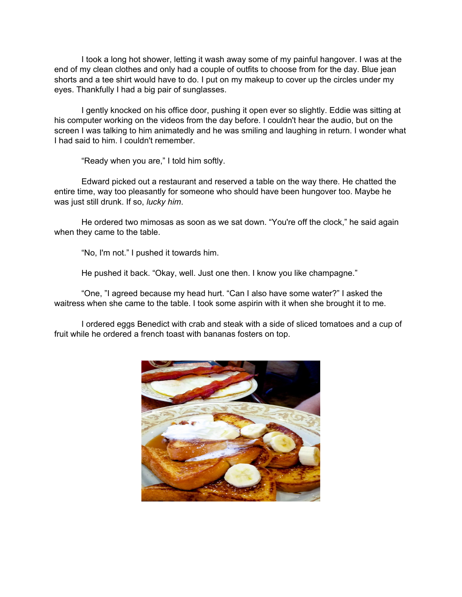I took a long hot shower, letting it wash away some of my painful hangover. I was at the end of my clean clothes and only had a couple of outfits to choose from for the day. Blue jean shorts and a tee shirt would have to do. I put on my makeup to cover up the circles under my eyes. Thankfully I had a big pair of sunglasses.

I gently knocked on his office door, pushing it open ever so slightly. Eddie was sitting at his computer working on the videos from the day before. I couldn't hear the audio, but on the screen I was talking to him animatedly and he was smiling and laughing in return. I wonder what I had said to him. I couldn't remember.

"Ready when you are," I told him softly.

Edward picked out a restaurant and reserved a table on the way there. He chatted the entire time, way too pleasantly for someone who should have been hungover too. Maybe he was just still drunk. If so, *lucky him*.

He ordered two mimosas as soon as we sat down. "You're off the clock," he said again when they came to the table.

"No, I'm not." I pushed it towards him.

He pushed it back. "Okay, well. Just one then. I know you like champagne."

"One, "I agreed because my head hurt. "Can I also have some water?" I asked the waitress when she came to the table. I took some aspirin with it when she brought it to me.

I ordered eggs Benedict with crab and steak with a side of sliced tomatoes and a cup of fruit while he ordered a french toast with bananas fosters on top.

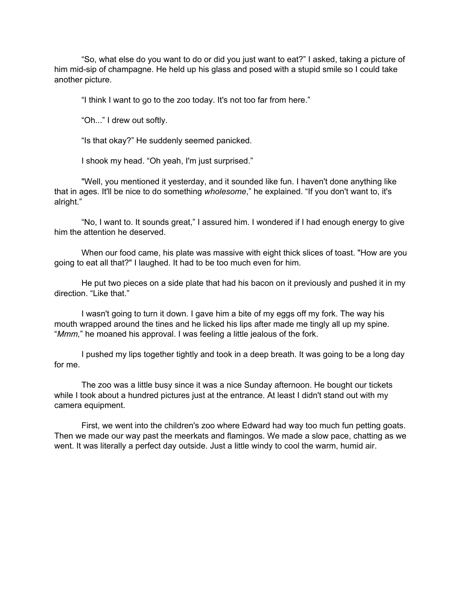"So, what else do you want to do or did you just want to eat?" I asked, taking a picture of him mid-sip of champagne. He held up his glass and posed with a stupid smile so I could take another picture.

"I think I want to go to the zoo today. It's not too far from here."

"Oh..." I drew out softly.

"Is that okay?" He suddenly seemed panicked.

I shook my head. "Oh yeah, I'm just surprised."

"Well, you mentioned it yesterday, and it sounded like fun. I haven't done anything like that in ages. It'll be nice to do something *wholesome*," he explained. "If you don't want to, it's alright."

"No, I want to. It sounds great," I assured him. I wondered if I had enough energy to give him the attention he deserved.

When our food came, his plate was massive with eight thick slices of toast. "How are you going to eat all that?" I laughed. It had to be too much even for him.

He put two pieces on a side plate that had his bacon on it previously and pushed it in my direction. "Like that."

I wasn't going to turn it down. I gave him a bite of my eggs off my fork. The way his mouth wrapped around the tines and he licked his lips after made me tingly all up my spine. "*Mmm,*" he moaned his approval. I was feeling a little jealous of the fork.

I pushed my lips together tightly and took in a deep breath. It was going to be a long day for me.

The zoo was a little busy since it was a nice Sunday afternoon. He bought our tickets while I took about a hundred pictures just at the entrance. At least I didn't stand out with my camera equipment.

First, we went into the children's zoo where Edward had way too much fun petting goats. Then we made our way past the meerkats and flamingos. We made a slow pace, chatting as we went. It was literally a perfect day outside. Just a little windy to cool the warm, humid air.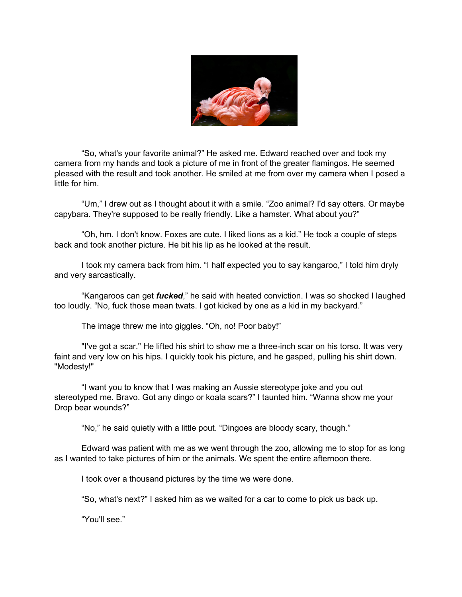

"So, what's your favorite animal?" He asked me. Edward reached over and took my camera from my hands and took a picture of me in front of the greater flamingos. He seemed pleased with the result and took another. He smiled at me from over my camera when I posed a little for him.

"Um," I drew out as I thought about it with a smile. "Zoo animal? I'd say otters. Or maybe capybara. They're supposed to be really friendly. Like a hamster. What about you?"

"Oh, hm. I don't know. Foxes are cute. I liked lions as a kid." He took a couple of steps back and took another picture. He bit his lip as he looked at the result.

I took my camera back from him. "I half expected you to say kangaroo," I told him dryly and very sarcastically.

"Kangaroos can get *fucked*," he said with heated conviction. I was so shocked I laughed too loudly. "No, fuck those mean twats. I got kicked by one as a kid in my backyard."

The image threw me into giggles. "Oh, no! Poor baby!"

"I've got a scar." He lifted his shirt to show me a three-inch scar on his torso. It was very faint and very low on his hips. I quickly took his picture, and he gasped, pulling his shirt down. "Modesty!"

"I want you to know that I was making an Aussie stereotype joke and you out stereotyped me. Bravo. Got any dingo or koala scars?" I taunted him. "Wanna show me your Drop bear wounds?"

"No," he said quietly with a little pout. "Dingoes are bloody scary, though."

Edward was patient with me as we went through the zoo, allowing me to stop for as long as I wanted to take pictures of him or the animals. We spent the entire afternoon there.

I took over a thousand pictures by the time we were done.

"So, what's next?" I asked him as we waited for a car to come to pick us back up.

"You'll see."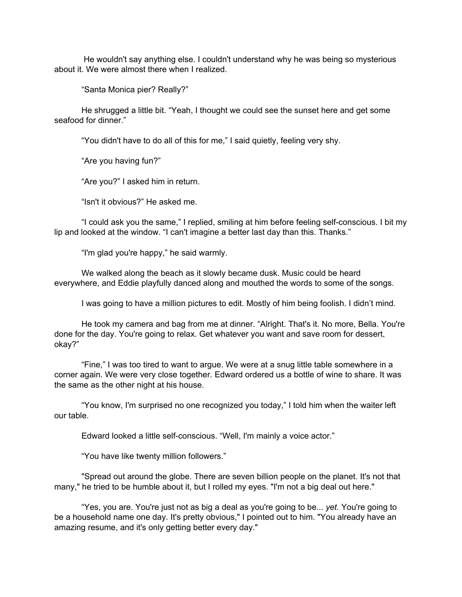He wouldn't say anything else. I couldn't understand why he was being so mysterious about it. We were almost there when I realized.

"Santa Monica pier? Really?"

He shrugged a little bit. "Yeah, I thought we could see the sunset here and get some seafood for dinner."

"You didn't have to do all of this for me," I said quietly, feeling very shy.

"Are you having fun?"

"Are you?" I asked him in return.

"Isn't it obvious?" He asked me.

"I could ask you the same," I replied, smiling at him before feeling self-conscious. I bit my lip and looked at the window. "I can't imagine a better last day than this. Thanks."

"I'm glad you're happy," he said warmly.

We walked along the beach as it slowly became dusk. Music could be heard everywhere, and Eddie playfully danced along and mouthed the words to some of the songs.

I was going to have a million pictures to edit. Mostly of him being foolish. I didn't mind.

He took my camera and bag from me at dinner. "Alright. That's it. No more, Bella. You're done for the day. You're going to relax. Get whatever you want and save room for dessert, okay?"

"Fine," I was too tired to want to argue. We were at a snug little table somewhere in a corner again. We were very close together. Edward ordered us a bottle of wine to share. It was the same as the other night at his house.

"You know, I'm surprised no one recognized you today," I told him when the waiter left our table.

Edward looked a little self-conscious. "Well, I'm mainly a voice actor."

"You have like twenty million followers."

"Spread out around the globe. There are seven billion people on the planet. It's not that many," he tried to be humble about it, but I rolled my eyes. "I'm not a big deal out here."

"Yes, you are. You're just not as big a deal as you're going to be... *yet.* You're going to be a household name one day. It's pretty obvious," I pointed out to him. "You already have an amazing resume, and it's only getting better every day."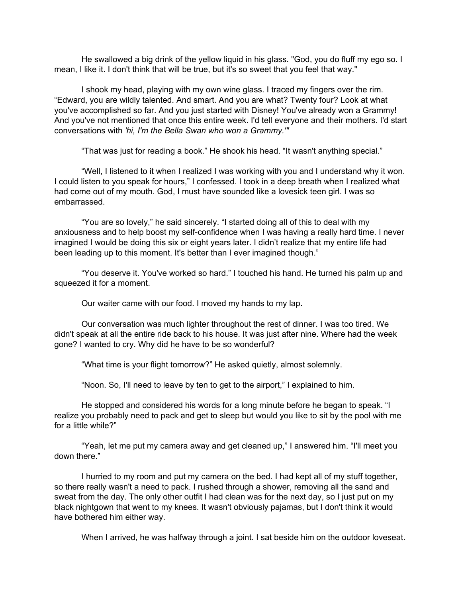He swallowed a big drink of the yellow liquid in his glass. "God, you do fluff my ego so. I mean, I like it. I don't think that will be true, but it's so sweet that you feel that way."

I shook my head, playing with my own wine glass. I traced my fingers over the rim. "Edward, you are wildly talented. And smart. And you are what? Twenty four? Look at what you've accomplished so far. And you just started with Disney! You've already won a Grammy! And you've not mentioned that once this entire week. I'd tell everyone and their mothers. I'd start conversations with *'hi, I'm the Bella Swan who won a Grammy.'"*

"That was just for reading a book." He shook his head. "It wasn't anything special."

"Well, I listened to it when I realized I was working with you and I understand why it won. I could listen to you speak for hours," I confessed. I took in a deep breath when I realized what had come out of my mouth. God, I must have sounded like a lovesick teen girl. I was so embarrassed.

"You are so lovely," he said sincerely. "I started doing all of this to deal with my anxiousness and to help boost my self-confidence when I was having a really hard time. I never imagined I would be doing this six or eight years later. I didn't realize that my entire life had been leading up to this moment. It's better than I ever imagined though."

"You deserve it. You've worked so hard." I touched his hand. He turned his palm up and squeezed it for a moment.

Our waiter came with our food. I moved my hands to my lap.

Our conversation was much lighter throughout the rest of dinner. I was too tired. We didn't speak at all the entire ride back to his house. It was just after nine. Where had the week gone? I wanted to cry. Why did he have to be so wonderful?

"What time is your flight tomorrow?" He asked quietly, almost solemnly.

"Noon. So, I'll need to leave by ten to get to the airport," I explained to him.

He stopped and considered his words for a long minute before he began to speak. "I realize you probably need to pack and get to sleep but would you like to sit by the pool with me for a little while?"

"Yeah, let me put my camera away and get cleaned up," I answered him. "I'll meet you down there."

I hurried to my room and put my camera on the bed. I had kept all of my stuff together, so there really wasn't a need to pack. I rushed through a shower, removing all the sand and sweat from the day. The only other outfit I had clean was for the next day, so I just put on my black nightgown that went to my knees. It wasn't obviously pajamas, but I don't think it would have bothered him either way.

When I arrived, he was halfway through a joint. I sat beside him on the outdoor loveseat.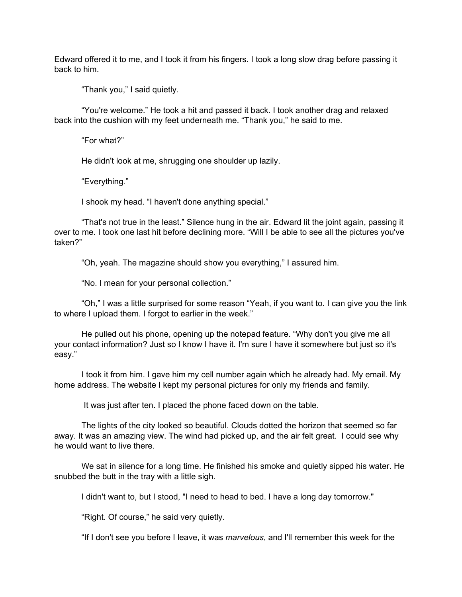Edward offered it to me, and I took it from his fingers. I took a long slow drag before passing it back to him.

"Thank you," I said quietly.

"You're welcome." He took a hit and passed it back. I took another drag and relaxed back into the cushion with my feet underneath me. "Thank you," he said to me.

"For what?"

He didn't look at me, shrugging one shoulder up lazily.

"Everything."

I shook my head. "I haven't done anything special."

"That's not true in the least." Silence hung in the air. Edward lit the joint again, passing it over to me. I took one last hit before declining more. "Will I be able to see all the pictures you've taken?"

"Oh, yeah. The magazine should show you everything," I assured him.

"No. I mean for your personal collection."

"Oh," I was a little surprised for some reason "Yeah, if you want to. I can give you the link to where I upload them. I forgot to earlier in the week."

He pulled out his phone, opening up the notepad feature. "Why don't you give me all your contact information? Just so I know I have it. I'm sure I have it somewhere but just so it's easy."

I took it from him. I gave him my cell number again which he already had. My email. My home address. The website I kept my personal pictures for only my friends and family.

It was just after ten. I placed the phone faced down on the table.

The lights of the city looked so beautiful. Clouds dotted the horizon that seemed so far away. It was an amazing view. The wind had picked up, and the air felt great. I could see why he would want to live there.

We sat in silence for a long time. He finished his smoke and quietly sipped his water. He snubbed the butt in the tray with a little sigh.

I didn't want to, but I stood, "I need to head to bed. I have a long day tomorrow."

"Right. Of course," he said very quietly.

"If I don't see you before I leave, it was *marvelous*, and I'll remember this week for the